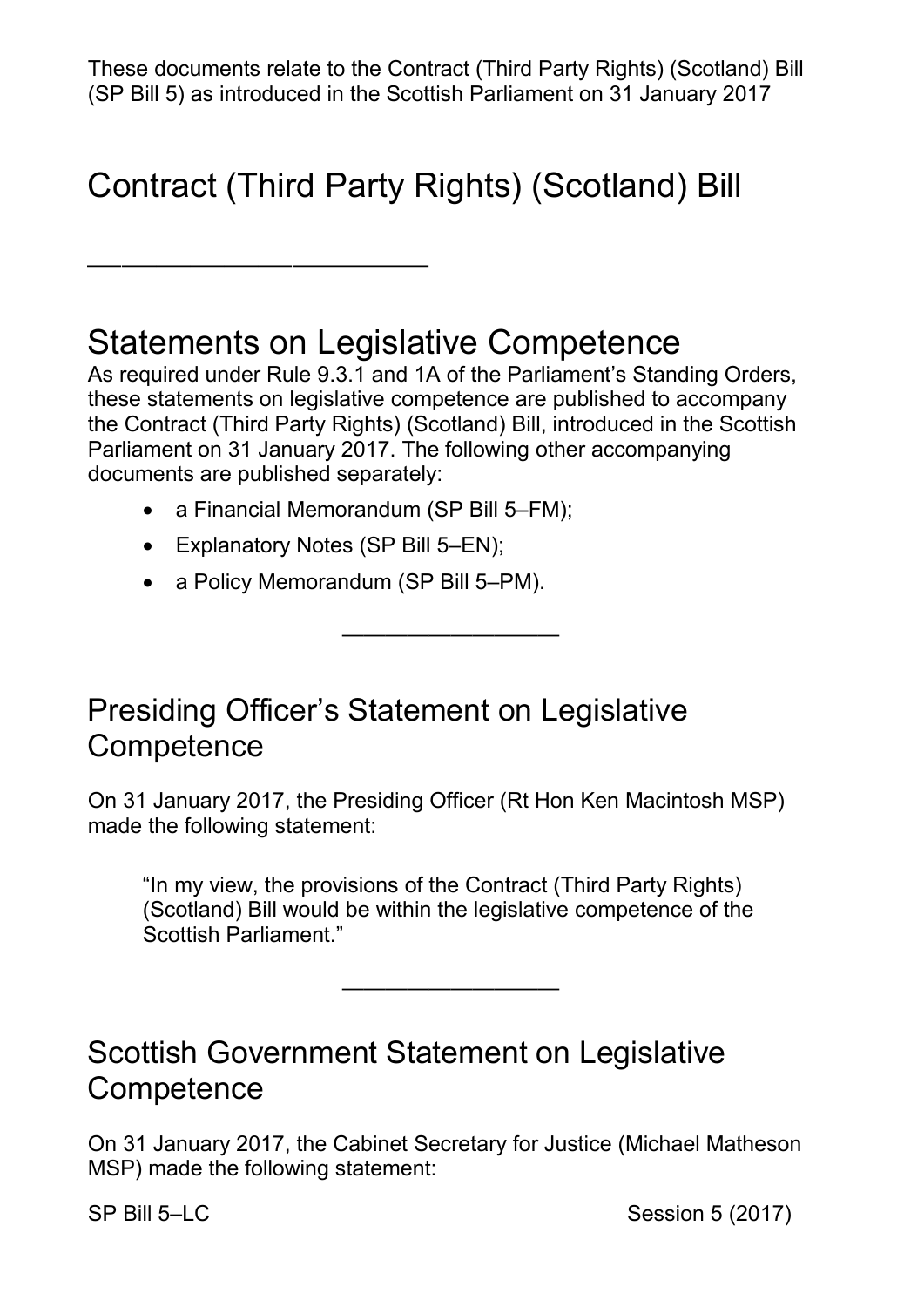These documents relate to the Contract (Third Party Rights) (Scotland) Bill (SP Bill 5) as introduced in the Scottish Parliament on 31 January 2017

# Contract (Third Party Rights) (Scotland) Bill

### Statements on Legislative Competence

 As required under Rule 9.3.1 and 1A of the Parliament's Standing Orders, these statements on legislative competence are published to accompany the Contract (Third Party Rights) (Scotland) Bill, introduced in the Scottish Parliament on 31 January 2017. The following other accompanying documents are published separately:

- a Financial Memorandum (SP Bill 5–FM);
- Explanatory Notes (SP Bill 5–EN);

——————————

• a Policy Memorandum (SP Bill 5–PM).

#### Presiding Officer's Statement on Legislative **Competence**

On 31 January 2017, the Presiding Officer (Rt Hon Ken Macintosh MSP) made the following statement:

——————————

"In my view, the provisions of the Contract (Third Party Rights) (Scotland) Bill would be within the legislative competence of the Scottish Parliament."

————————————————————

Scottish Government Statement on Legislative **Competence** 

 On 31 January 2017, the Cabinet Secretary for Justice (Michael Matheson MSP) made the following statement:

SP Bill 5–LC Session 5 (2017)